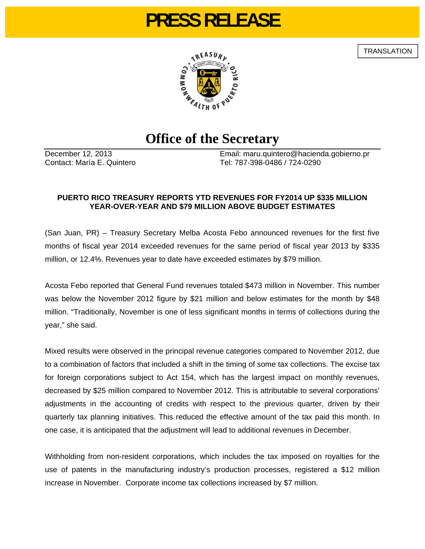# **PRESS RELEASE**

**TRANSLATION** 



## **Office of the Secretary**

December 12, 2013 Email: maru.quintero@hacienda.gobierno.pr Contact: María E. Quintero Tel: 787-398-0486 / 724-0290

### **PUERTO RICO TREASURY REPORTS YTD REVENUES FOR FY2014 UP \$335 MILLION YEAR-OVER-YEAR AND \$79 MILLION ABOVE BUDGET ESTIMATES**

(San Juan, PR) – Treasury Secretary Melba Acosta Febo announced revenues for the first five months of fiscal year 2014 exceeded revenues for the same period of fiscal year 2013 by \$335 million, or 12.4%. Revenues year to date have exceeded estimates by \$79 million.

Acosta Febo reported that General Fund revenues totaled \$473 million in November. This number was below the November 2012 figure by \$21 million and below estimates for the month by \$48 million. "Traditionally, November is one of less significant months in terms of collections during the year," she said.

Mixed results were observed in the principal revenue categories compared to November 2012, due to a combination of factors that included a shift in the timing of some tax collections. The excise tax for foreign corporations subject to Act 154, which has the largest impact on monthly revenues, decreased by \$25 million compared to November 2012. This is attributable to several corporations' adjustments in the accounting of credits with respect to the previous quarter, driven by their quarterly tax planning initiatives. This reduced the effective amount of the tax paid this month. In one case, it is anticipated that the adjustment will lead to additional revenues in December.

Withholding from non-resident corporations, which includes the tax imposed on royalties for the use of patents in the manufacturing industry's production processes, registered a \$12 million increase in November. Corporate income tax collections increased by \$7 million.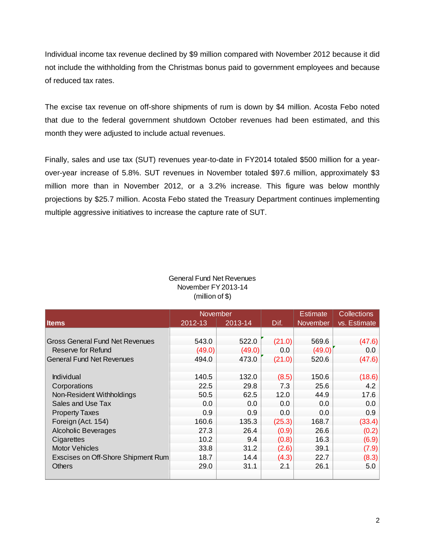Individual income tax revenue declined by \$9 million compared with November 2012 because it did not include the withholding from the Christmas bonus paid to government employees and because of reduced tax rates.

The excise tax revenue on off-shore shipments of rum is down by \$4 million. Acosta Febo noted that due to the federal government shutdown October revenues had been estimated, and this month they were adjusted to include actual revenues.

Finally, sales and use tax (SUT) revenues year-to-date in FY2014 totaled \$500 million for a yearover-year increase of 5.8%. SUT revenues in November totaled \$97.6 million, approximately \$3 million more than in November 2012, or a 3.2% increase. This figure was below monthly projections by \$25.7 million. Acosta Febo stated the Treasury Department continues implementing multiple aggressive initiatives to increase the capture rate of SUT.

|                                        | <b>November</b> |         |        | <b>Estimate</b> | <b>Collections</b> |
|----------------------------------------|-----------------|---------|--------|-----------------|--------------------|
| <b>Items</b>                           | 2012-13         | 2013-14 | Dif.   | <b>November</b> | vs. Estimate       |
|                                        |                 |         |        |                 |                    |
| <b>Gross General Fund Net Revenues</b> | 543.0           | 522.0   | (21.0) | 569.6           | (47.6)             |
| Reserve for Refund                     | (49.0)          | (49.0)  | 0.0    | (49.0)          | 0.0                |
| <b>General Fund Net Revenues</b>       | 494.0           | 473.0   | (21.0) | 520.6           | (47.6)             |
|                                        |                 |         |        |                 |                    |
| Individual                             | 140.5           | 132.0   | (8.5)  | 150.6           | (18.6)             |
| Corporations                           | 22.5            | 29.8    | 7.3    | 25.6            | 4.2                |
| Non-Resident Withholdings              | 50.5            | 62.5    | 12.0   | 44.9            | 17.6               |
| Sales and Use Tax                      | 0.0             | 0.0     | 0.0    | 0.0             | 0.0                |
| <b>Property Taxes</b>                  | 0.9             | 0.9     | 0.0    | 0.0             | 0.9                |
| Foreign (Act. 154)                     | 160.6           | 135.3   | (25.3) | 168.7           | (33.4)             |
| <b>Alcoholic Beverages</b>             | 27.3            | 26.4    | (0.9)  | 26.6            | (0.2)              |
| Cigarettes                             | 10.2            | 9.4     | (0.8)  | 16.3            | (6.9)              |
| <b>Motor Vehicles</b>                  | 33.8            | 31.2    | (2.6)  | 39.1            | (7.9)              |
| Exscises on Off-Shore Shipment Rum     | 18.7            | 14.4    | (4.3)  | 22.7            | (8.3)              |
| <b>Others</b>                          | 29.0            | 31.1    | 2.1    | 26.1            | 5.0                |
|                                        |                 |         |        |                 |                    |

#### General Fund Net Revenues November FY 2013-14 (million of \$)